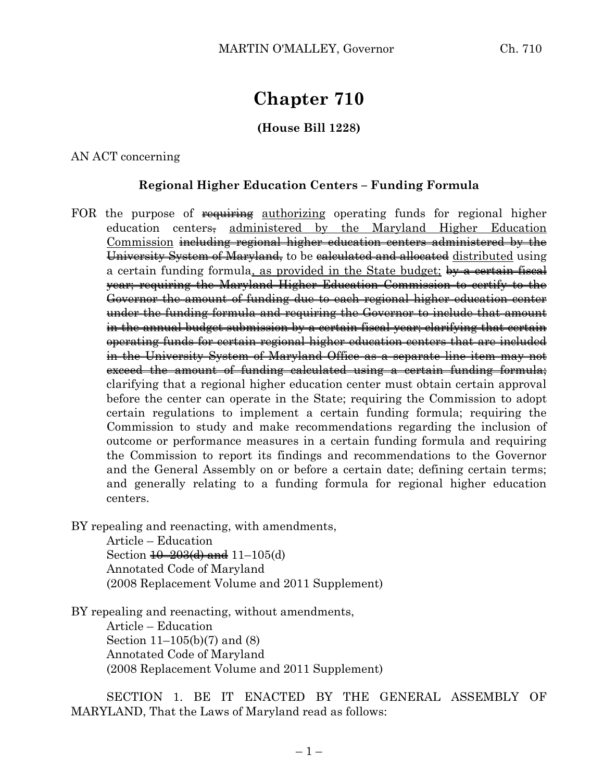# **Chapter 710**

## **(House Bill 1228)**

### AN ACT concerning

## **Regional Higher Education Centers – Funding Formula**

FOR the purpose of requiring authorizing operating funds for regional higher education centers, administered by the Maryland Higher Education Commission including regional higher education centers administered by the University System of Maryland, to be calculated and allocated distributed using a certain funding formula, as provided in the State budget; by a certain fiscal year; requiring the Maryland Higher Education Commission to certify to the Governor the amount of funding due to each regional higher education center under the funding formula and requiring the Governor to include that amount in the annual budget submission by a certain fiscal year; clarifying that certain operating funds for certain regional higher education centers that are included in the University System of Maryland Office as a separate line item may not exceed the amount of funding calculated using a certain funding formula; clarifying that a regional higher education center must obtain certain approval before the center can operate in the State; requiring the Commission to adopt certain regulations to implement a certain funding formula; requiring the Commission to study and make recommendations regarding the inclusion of outcome or performance measures in a certain funding formula and requiring the Commission to report its findings and recommendations to the Governor and the General Assembly on or before a certain date; defining certain terms; and generally relating to a funding formula for regional higher education centers.

BY repealing and reenacting, with amendments,

Article – Education Section  $\frac{10-203(d)}{d}$  and  $11-105(d)$ Annotated Code of Maryland (2008 Replacement Volume and 2011 Supplement)

BY repealing and reenacting, without amendments, Article – Education

Section 11–105(b)(7) and (8) Annotated Code of Maryland (2008 Replacement Volume and 2011 Supplement)

SECTION 1. BE IT ENACTED BY THE GENERAL ASSEMBLY OF MARYLAND, That the Laws of Maryland read as follows: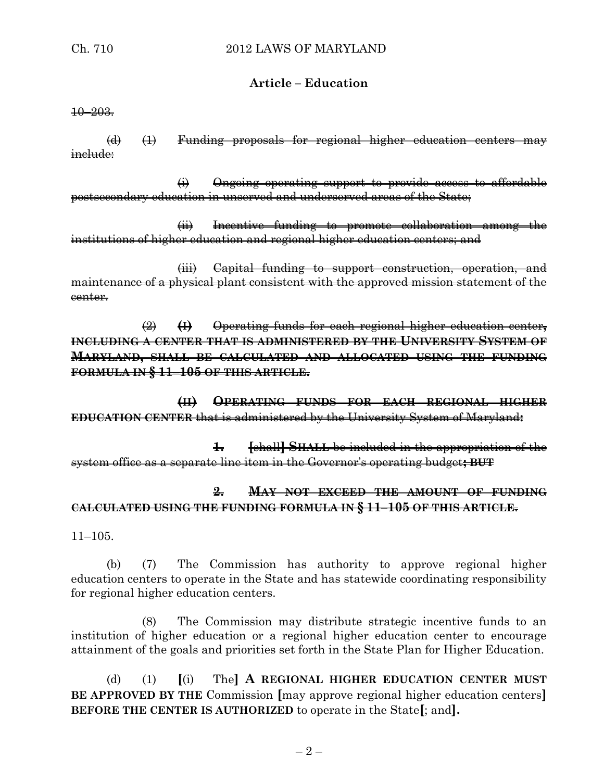### **Article – Education**

10–203.

(d) (1) Funding proposals for regional higher education centers may مامىسنو

(i) Ongoing operating support to provide access to affordable postsecondary education in unserved and underserved areas of the State;

(ii) Incentive funding to promote collaboration among the institutions of higher education and regional higher education centers; and

(iii) Capital funding to support construction, operation, and maintenance of a physical plant consistent with the approved mission statement of the center.

(2) **(I)** Operating funds for each regional higher education center**, INCLUDING A CENTER THAT IS ADMINISTERED BY THE UNIVERSITY SYSTEM OF MARYLAND, SHALL BE CALCULATED AND ALLOCATED USING THE FUNDING FORMULA IN § 11–105 OF THIS ARTICLE.**

**(II) OPERATING FUNDS FOR EACH REGIONAL HIGHER EDUCATION CENTER** that is administered by the University System of Maryland**:**

**1. [**shall**] SHALL** be included in the appropriation of the system office as a separate line item in the Governor's operating budget**; BUT**

# **2. MAY NOT EXCEED THE AMOUNT OF FUNDING CALCULATED USING THE FUNDING FORMULA IN § 11–105 OF THIS ARTICLE**.

11–105.

(b) (7) The Commission has authority to approve regional higher education centers to operate in the State and has statewide coordinating responsibility for regional higher education centers.

The Commission may distribute strategic incentive funds to an institution of higher education or a regional higher education center to encourage attainment of the goals and priorities set forth in the State Plan for Higher Education.

(d) (1) **[**(i) The**] A REGIONAL HIGHER EDUCATION CENTER MUST BE APPROVED BY THE** Commission **[**may approve regional higher education centers**] BEFORE THE CENTER IS AUTHORIZED** to operate in the State**[**; and**].**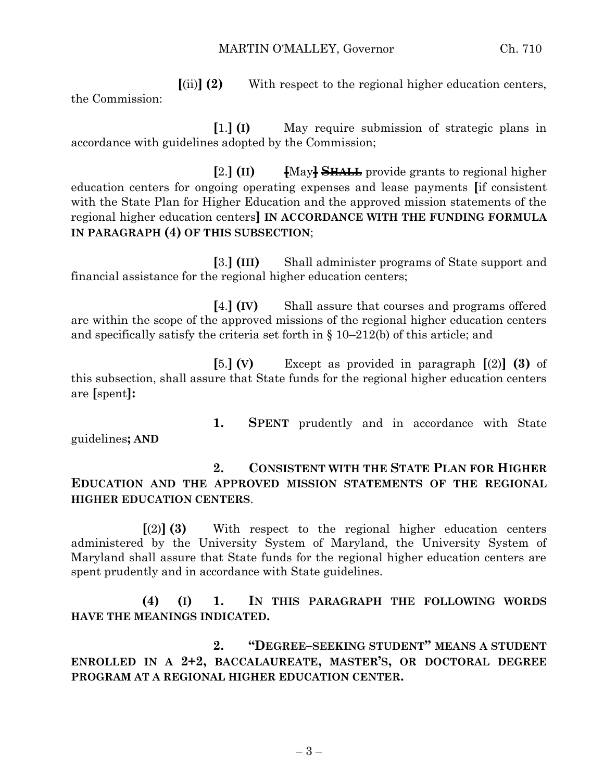**[**(ii)**] (2)** With respect to the regional higher education centers, the Commission:

**[**1.**] (I)** May require submission of strategic plans in accordance with guidelines adopted by the Commission;

**[**2.**] (II) [**May**] SHALL** provide grants to regional higher education centers for ongoing operating expenses and lease payments **[**if consistent with the State Plan for Higher Education and the approved mission statements of the regional higher education centers**] IN ACCORDANCE WITH THE FUNDING FORMULA IN PARAGRAPH (4) OF THIS SUBSECTION**;

**[**3.**] (III)** Shall administer programs of State support and financial assistance for the regional higher education centers;

**[**4.**] (IV)** Shall assure that courses and programs offered are within the scope of the approved missions of the regional higher education centers and specifically satisfy the criteria set forth in  $\S 10-212(b)$  of this article; and

**[**5.**] (V)** Except as provided in paragraph **[**(2)**] (3)** of this subsection, shall assure that State funds for the regional higher education centers are **[**spent**]:**

guidelines**; AND** 

**1. SPENT** prudently and in accordance with State

**2. CONSISTENT WITH THE STATE PLAN FOR HIGHER EDUCATION AND THE APPROVED MISSION STATEMENTS OF THE REGIONAL HIGHER EDUCATION CENTERS**.

**[**(2)**] (3)** With respect to the regional higher education centers administered by the University System of Maryland, the University System of Maryland shall assure that State funds for the regional higher education centers are spent prudently and in accordance with State guidelines.

**(4) (I) 1. IN THIS PARAGRAPH THE FOLLOWING WORDS HAVE THE MEANINGS INDICATED.**

**2. "DEGREE–SEEKING STUDENT" MEANS A STUDENT ENROLLED IN A 2+2, BACCALAUREATE, MASTER'S, OR DOCTORAL DEGREE PROGRAM AT A REGIONAL HIGHER EDUCATION CENTER.**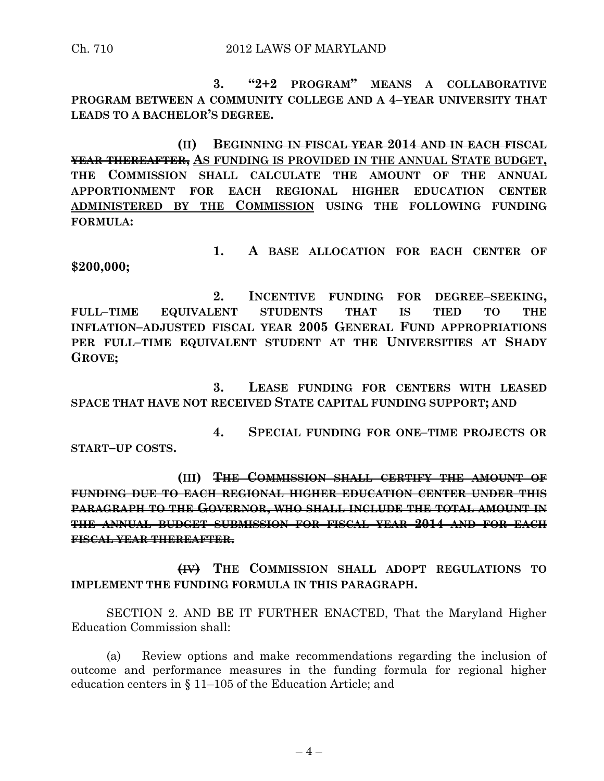**3. "2+2 PROGRAM" MEANS A COLLABORATIVE PROGRAM BETWEEN A COMMUNITY COLLEGE AND A 4–YEAR UNIVERSITY THAT LEADS TO A BACHELOR'S DEGREE.**

**(II) BEGINNING IN FISCAL YEAR 2014 AND IN EACH FISCAL YEAR THEREAFTER, AS FUNDING IS PROVIDED IN THE ANNUAL STATE BUDGET, THE COMMISSION SHALL CALCULATE THE AMOUNT OF THE ANNUAL APPORTIONMENT FOR EACH REGIONAL HIGHER EDUCATION CENTER ADMINISTERED BY THE COMMISSION USING THE FOLLOWING FUNDING FORMULA:**

**1. A BASE ALLOCATION FOR EACH CENTER OF \$200,000;**

**2. INCENTIVE FUNDING FOR DEGREE–SEEKING, FULL–TIME EQUIVALENT STUDENTS THAT IS TIED TO THE INFLATION–ADJUSTED FISCAL YEAR 2005 GENERAL FUND APPROPRIATIONS PER FULL–TIME EQUIVALENT STUDENT AT THE UNIVERSITIES AT SHADY GROVE;**

**3. LEASE FUNDING FOR CENTERS WITH LEASED SPACE THAT HAVE NOT RECEIVED STATE CAPITAL FUNDING SUPPORT; AND**

**4. SPECIAL FUNDING FOR ONE–TIME PROJECTS OR START–UP COSTS.**

**(III) THE COMMISSION SHALL CERTIFY THE AMOUNT OF FUNDING DUE TO EACH REGIONAL HIGHER EDUCATION CENTER UNDER THIS PARAGRAPH TO THE GOVERNOR, WHO SHALL INCLUDE THE TOTAL AMOUNT IN THE ANNUAL BUDGET SUBMISSION FOR FISCAL YEAR 2014 AND FOR EACH FISCAL YEAR THEREAFTER.**

**(IV) THE COMMISSION SHALL ADOPT REGULATIONS TO IMPLEMENT THE FUNDING FORMULA IN THIS PARAGRAPH.**

SECTION 2. AND BE IT FURTHER ENACTED, That the Maryland Higher Education Commission shall:

(a) Review options and make recommendations regarding the inclusion of outcome and performance measures in the funding formula for regional higher education centers in § 11–105 of the Education Article; and